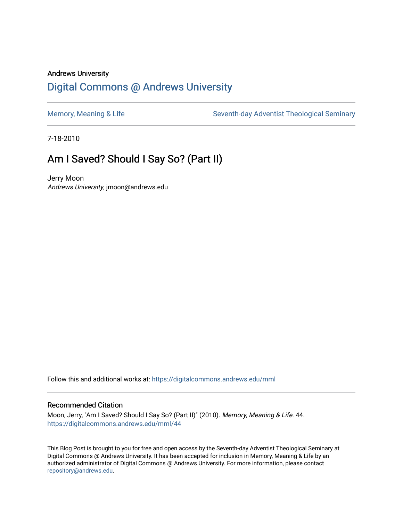## Andrews University [Digital Commons @ Andrews University](https://digitalcommons.andrews.edu/)

[Memory, Meaning & Life](https://digitalcommons.andrews.edu/mml) Seventh-day Adventist Theological Seminary

7-18-2010

## Am I Saved? Should I Say So? (Part II)

Jerry Moon Andrews University, jmoon@andrews.edu

Follow this and additional works at: [https://digitalcommons.andrews.edu/mml](https://digitalcommons.andrews.edu/mml?utm_source=digitalcommons.andrews.edu%2Fmml%2F44&utm_medium=PDF&utm_campaign=PDFCoverPages) 

#### Recommended Citation

Moon, Jerry, "Am I Saved? Should I Say So? (Part II)" (2010). Memory, Meaning & Life. 44. [https://digitalcommons.andrews.edu/mml/44](https://digitalcommons.andrews.edu/mml/44?utm_source=digitalcommons.andrews.edu%2Fmml%2F44&utm_medium=PDF&utm_campaign=PDFCoverPages)

This Blog Post is brought to you for free and open access by the Seventh-day Adventist Theological Seminary at Digital Commons @ Andrews University. It has been accepted for inclusion in Memory, Meaning & Life by an authorized administrator of Digital Commons @ Andrews University. For more information, please contact [repository@andrews.edu](mailto:repository@andrews.edu).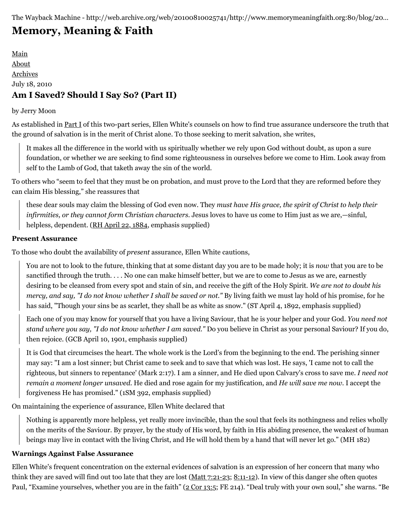The Wayback Machine - http://web.archive.org/web/20100810025741/http://www.memorymeaningfaith.org:80/blog/20…

# **[Memory, Meaning & Faith](http://web.archive.org/web/20100810025741/http://www.memorymeaningfaith.org/blog/)**

[Main](http://web.archive.org/web/20100810025741/http://www.memorymeaningfaith.org/blog) [About](http://web.archive.org/web/20100810025741/http://www.memorymeaningfaith.org/blog/about.html) [Archives](http://web.archive.org/web/20100810025741/http://www.memorymeaningfaith.org/blog/archives.html) July 18, 2010 **Am I Saved? Should I Say So? (Part II)**

#### by Jerry Moon

As established in [Part I](http://web.archive.org/web/20100810025741/http://are-saved-should-say-so-i/) of this two-part series, Ellen White's counsels on how to find true assurance underscore the truth that the ground of salvation is in the merit of Christ alone. To those seeking to merit salvation, she writes,

It makes all the difference in the world with us spiritually whether we rely upon God without doubt, as upon a sure foundation, or whether we are seeking to find some righteousness in ourselves before we come to Him. Look away from self to the Lamb of God, that taketh away the sin of the world.

To others who "seem to feel that they must be on probation, and must prove to the Lord that they are reformed before they can claim His blessing," she reassures that

these dear souls may claim the blessing of God even now. They *must have His grace, the spirit of Christ to help their infirmities, or they cannot form Christian characters*. Jesus loves to have us come to Him just as we are,—sinful, helpless, dependent. [\(RH April 22, 1884](http://web.archive.org/web/20100810025741/http://egwdatabase.whiteestate.org/nxt/gateway.dll?f=templates$fn=default.htm$vid=default), emphasis supplied)

#### **Present Assurance**

To those who doubt the availability of *present* assurance, Ellen White cautions,

You are not to look to the future, thinking that at some distant day you are to be made holy; it is *now* that you are to be sanctified through the truth. . . . No one can make himself better, but we are to come to Jesus as we are, earnestly desiring to be cleansed from every spot and stain of sin, and receive the gift of the Holy Spirit. *We are not to doubt his mercy, and say, "I do not know whether I shall be saved or not."* By living faith we must lay hold of his promise, for he has said, "Though your sins be as scarlet, they shall be as white as snow." (ST April 4, 1892, emphasis supplied)

Each one of you may know for yourself that you have a living Saviour, that he is your helper and your God. *You need not stand where you say, "I do not know whether I am saved."* Do you believe in Christ as your personal Saviour? If you do, then rejoice. (GCB April 10, 1901, emphasis supplied)

It is God that circumcises the heart. The whole work is the Lord's from the beginning to the end. The perishing sinner may say: "I am a lost sinner; but Christ came to seek and to save that which was lost. He says, 'I came not to call the righteous, but sinners to repentance' (Mark 2:17). I am a sinner, and He died upon Calvary's cross to save me. *I need not remain a moment longer unsaved.* He died and rose again for my justification, and *He will save me now*. I accept the forgiveness He has promised." (1SM 392, emphasis supplied)

On maintaining the experience of assurance, Ellen White declared that

Nothing is apparently more helpless, yet really more invincible, than the soul that feels its nothingness and relies wholly on the merits of the Saviour. By prayer, by the study of His word, by faith in His abiding presence, the weakest of human beings may live in contact with the living Christ, and He will hold them by a hand that will never let go." (MH 182)

### **Warnings Against False Assurance**

Ellen White's frequent concentration on the external evidences of salvation is an expression of her concern that many who think they are saved will find out too late that they are lost  $(Matt 7:21-23; 8:11-12)$  $(Matt 7:21-23; 8:11-12)$  $(Matt 7:21-23; 8:11-12)$  $(Matt 7:21-23; 8:11-12)$ . In view of this danger she often quotes Paul, "Examine yourselves, whether you are in the faith" [\(2 Cor 13:5](http://web.archive.org/web/20100810025741/http://www.biblestudytools.com/nrs/2-corinthians/13-5.html); FE 214). "Deal truly with your own soul," she warns. "Be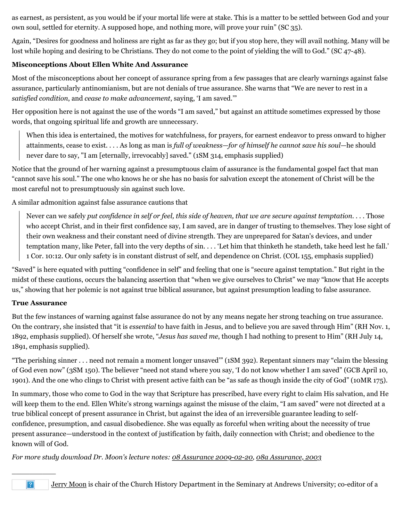as earnest, as persistent, as you would be if your mortal life were at stake. This is a matter to be settled between God and your own soul, settled for eternity. A supposed hope, and nothing more, will prove your ruin" (SC 35).

Again, "Desires for goodness and holiness are right as far as they go; but if you stop here, they will avail nothing. Many will be lost while hoping and desiring to be Christians. They do not come to the point of yielding the will to God." (SC 47-48).

#### **Misconceptions About Ellen White And Assurance**

Most of the misconceptions about her concept of assurance spring from a few passages that are clearly warnings against false assurance, particularly antinomianism, but are not denials of true assurance. She warns that "We are never to rest in a *satisfied condition*, and *cease to make advancement*, saying, 'I am saved.'"

Her opposition here is not against the use of the words "I am saved," but against an attitude sometimes expressed by those words, that ongoing spiritual life and growth are unnecessary.

When this idea is entertained, the motives for watchfulness, for prayers, for earnest endeavor to press onward to higher attainments, cease to exist. . . . As long as man is *full of weakness—for of himself he cannot save his soul—*he should never dare to say, "I am [eternally, irrevocably] saved." (1SM 314, emphasis supplied)

Notice that the ground of her warning against a presumptuous claim of assurance is the fundamental gospel fact that man "cannot save his soul." The one who knows he or she has no basis for salvation except the atonement of Christ will be the most careful not to presumptuously sin against such love.

A similar admonition against false assurance cautions that

Never can we safely *put confidence in self or feel, this side of heaven, that we are secure against temptation*. . . . Those who accept Christ, and in their first confidence say, I am saved, are in danger of trusting to themselves. They lose sight of their own weakness and their constant need of divine strength. They are unprepared for Satan's devices, and under temptation many, like Peter, fall into the very depths of sin. . . . 'Let him that thinketh he standeth, take heed lest he fall.' 1 Cor. 10:12. Our only safety is in constant distrust of self, and dependence on Christ. (COL 155, emphasis supplied)

"Saved" is here equated with putting "confidence in self" and feeling that one is "secure against temptation." But right in the midst of these cautions, occurs the balancing assertion that "when we give ourselves to Christ" we may "know that He accepts us," showing that her polemic is not against true biblical assurance, but against presumption leading to false assurance.

#### **True Assurance**

But the few instances of warning against false assurance do not by any means negate her strong teaching on true assurance. On the contrary, she insisted that "it is *essential* to have faith in Jesus, and to believe you are saved through Him" (RH Nov. 1, 1892, emphasis supplied). Of herself she wrote, "*Jesus has saved me*, though I had nothing to present to Him" (RH July 14, 1891, emphasis supplied).

"The perishing sinner . . . need not remain a moment longer unsaved'" (1SM 392). Repentant sinners may "claim the blessing of God even now" (3SM 150). The believer "need not stand where you say, 'I do not know whether I am saved" (GCB April 10, 1901). And the one who clings to Christ with present active faith can be "as safe as though inside the city of God" (10MR 175).

In summary, those who come to God in the way that Scripture has prescribed, have every right to claim His salvation, and He will keep them to the end. Ellen White's strong warnings against the misuse of the claim, "I am saved" were not directed at a true biblical concept of present assurance in Christ, but against the idea of an irreversible guarantee leading to selfconfidence, presumption, and casual disobedience. She was equally as forceful when writing about the necessity of true present assurance—understood in the context of justification by faith, daily connection with Christ; and obedience to the known will of God.

*For more study download Dr. Moon's lecture notes: [08 Assurance 2009-02-20](http://web.archive.org/web/20100810025741/http://www.memorymeaningfaith.org/files/08-assurance-2009-02-20.doc), [08a Assurance, 2003](http://web.archive.org/web/20100810025741/http://www.memorymeaningfaith.org/files/08a-assurance-2003.doc)*

 $|?|$ 

 $\overline{\phantom{a}}$